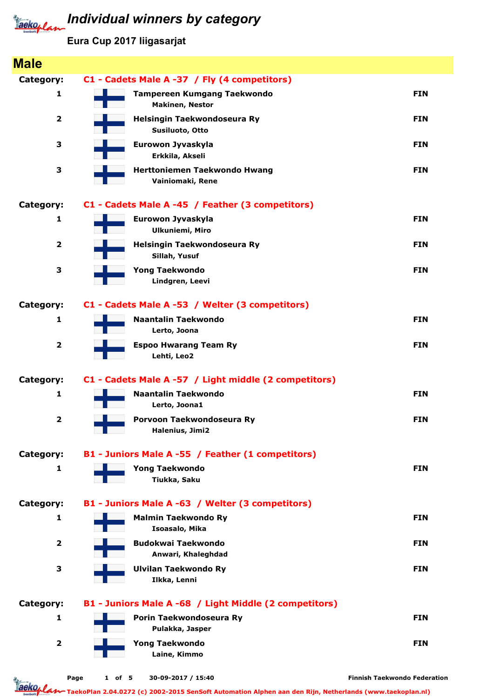## **Individual winners by category**

Eura Cup 2017 liigasarjat

| <b>Male</b>             |                                                        |                                     |
|-------------------------|--------------------------------------------------------|-------------------------------------|
| Category:               | C1 - Cadets Male A -37 / Fly (4 competitors)           |                                     |
| 1                       | Tampereen Kumgang Taekwondo<br><b>Makinen, Nestor</b>  | <b>FIN</b>                          |
| $\overline{2}$          | Helsingin Taekwondoseura Ry<br>Susiluoto, Otto         | <b>FIN</b>                          |
| 3                       | Eurowon Jyvaskyla<br>Erkkila, Akseli                   | <b>FIN</b>                          |
| 3                       | Herttoniemen Taekwondo Hwang<br>Vainiomaki, Rene       | <b>FIN</b>                          |
| Category:               | C1 - Cadets Male A -45 / Feather (3 competitors)       |                                     |
| 1                       | Eurowon Jyvaskyla<br><b>Ulkuniemi, Miro</b>            | <b>FIN</b>                          |
| $\overline{\mathbf{2}}$ | Helsingin Taekwondoseura Ry<br>Sillah, Yusuf           | <b>FIN</b>                          |
| 3                       | <b>Yong Taekwondo</b><br>Lindgren, Leevi               | <b>FIN</b>                          |
| Category:               | C1 - Cadets Male A -53 / Welter (3 competitors)        |                                     |
| $\mathbf{1}$            | <b>Naantalin Taekwondo</b><br>Lerto, Joona             | <b>FIN</b>                          |
| $\overline{\mathbf{2}}$ | <b>Espoo Hwarang Team Ry</b><br>Lehti, Leo2            | <b>FIN</b>                          |
| Category:               | C1 - Cadets Male A -57 / Light middle (2 competitors)  |                                     |
| 1                       | <b>Naantalin Taekwondo</b><br>Lerto, Joona1            | <b>FIN</b>                          |
| $\overline{\mathbf{2}}$ | Porvoon Taekwondoseura Ry<br>Halenius, Jimi2           | <b>FIN</b>                          |
| Category:               | B1 - Juniors Male A -55 / Feather (1 competitors)      |                                     |
| 1                       | <b>Yong Taekwondo</b><br>Tiukka, Saku                  | <b>FIN</b>                          |
| Category:               | B1 - Juniors Male A -63 / Welter (3 competitors)       |                                     |
| 1                       | <b>Malmin Taekwondo Ry</b><br>Isoasalo, Mika           | <b>FIN</b>                          |
| $\overline{2}$          | <b>Budokwai Taekwondo</b><br>Anwari, Khaleghdad        | <b>FIN</b>                          |
| 3                       | <b>Ulvilan Taekwondo Ry</b><br>Ilkka, Lenni            | <b>FIN</b>                          |
| Category:               | B1 - Juniors Male A -68 / Light Middle (2 competitors) |                                     |
| 1                       | Porin Taekwondoseura Ry<br>Pulakka, Jasper             | <b>FIN</b>                          |
| $\overline{\mathbf{2}}$ | <b>Yong Taekwondo</b><br>Laine, Kimmo                  | <b>FIN</b>                          |
|                         | $1$ of 5<br>30-09-2017 / 15:40<br>Page                 | <b>Finnish Taekwondo Federation</b> |

Taekoplan TaekoPlan 2.04.0272 (c) 2002-2015 SenSoft Automation Alphen aan den Rijn, Netherlands (www.taekoplan.nl)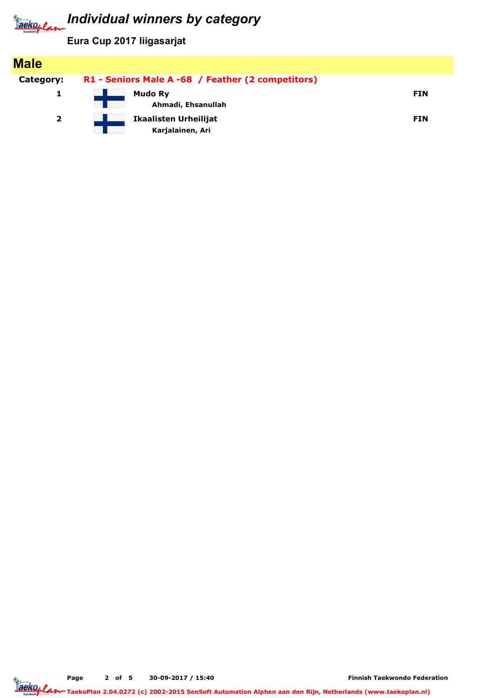

| <b>Male</b>  |                                                   |            |
|--------------|---------------------------------------------------|------------|
| Category:    | R1 - Seniors Male A -68 / Feather (2 competitors) |            |
|              | <b>Mudo Ry</b><br>Ahmadi, Ehsanullah              | <b>FIN</b> |
| $\mathbf{2}$ | <b>Ikaalisten Urheilijat</b><br>Karjalainen, Ari  | <b>FIN</b> |

Page 2 of 5 30-09-2017 / 15:40

Finnish Taekwondo Federation

TaekoPlan 2.04.0272 (c) 2002-2015 SenSoft Automation Alphen aan den Rijn, Netherlands (www.taekoplan.nl)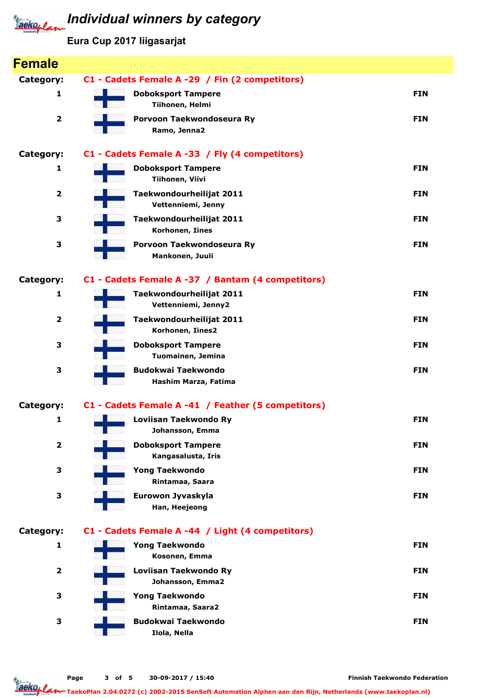

| <b>Category:</b><br>1   | C1 - Cadets Female A -29 / Fin (2 competitors)<br><b>Doboksport Tampere</b> |            |
|-------------------------|-----------------------------------------------------------------------------|------------|
|                         |                                                                             |            |
|                         | Tiihonen, Helmi                                                             | <b>FIN</b> |
| $\overline{\mathbf{2}}$ | Porvoon Taekwondoseura Ry<br>Ramo, Jenna2                                   | <b>FIN</b> |
| Category:               | C1 - Cadets Female A -33 / Fly (4 competitors)                              |            |
| 1                       | <b>Doboksport Tampere</b><br>Tiihonen, Viivi                                | <b>FIN</b> |
| $\overline{\mathbf{2}}$ | Taekwondourheilijat 2011<br>Vettenniemi, Jenny                              | <b>FIN</b> |
| 3                       | Taekwondourheilijat 2011<br>Korhonen, Iines                                 | <b>FIN</b> |
| 3                       | Porvoon Taekwondoseura Ry<br>Mankonen, Juuli                                | <b>FIN</b> |
| <b>Category:</b>        | C1 - Cadets Female A -37 / Bantam (4 competitors)                           |            |
| 1                       | Taekwondourheilijat 2011<br>Vettenniemi, Jenny2                             | <b>FIN</b> |
| $\overline{\mathbf{2}}$ | Taekwondourheilijat 2011<br>Korhonen, Iines2                                | <b>FIN</b> |
| 3                       | <b>Doboksport Tampere</b><br>Tuomainen, Jemina                              | <b>FIN</b> |
| 3                       | <b>Budokwai Taekwondo</b><br>Hashim Marza, Fatima                           | <b>FIN</b> |
| Category:               | C1 - Cadets Female A -41 / Feather (5 competitors)                          |            |
| 1                       | Loviisan Taekwondo Ry<br>Johansson, Emma                                    | <b>FIN</b> |
| $\overline{\mathbf{2}}$ | <b>Doboksport Tampere</b><br>Kangasalusta, Iris                             | <b>FIN</b> |
| 3                       | <b>Yong Taekwondo</b><br>Rintamaa, Saara                                    | <b>FIN</b> |
| 3                       | Eurowon Jyvaskyla<br>Han, Heejeong                                          | <b>FIN</b> |
| Category:               | C1 - Cadets Female A -44 / Light (4 competitors)                            |            |
| 1                       | <b>Yong Taekwondo</b><br>Kosonen, Emma                                      | <b>FIN</b> |
| $\overline{\mathbf{2}}$ | Loviisan Taekwondo Ry<br>Johansson, Emma2                                   | <b>FIN</b> |
| 3                       | <b>Yong Taekwondo</b><br>Rintamaa, Saara2                                   | <b>FIN</b> |
| 3                       | <b>Budokwai Taekwondo</b><br>Ilola, Nella                                   | <b>FIN</b> |

Finnish Taekwondo Federation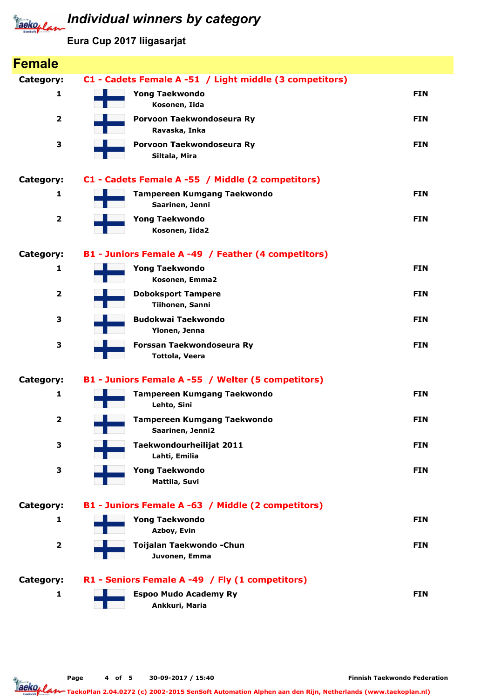

| <b>Female</b>           |                                                         |            |
|-------------------------|---------------------------------------------------------|------------|
| <b>Category:</b>        | C1 - Cadets Female A -51 / Light middle (3 competitors) |            |
| 1                       | <b>Yong Taekwondo</b><br>Kosonen, Iida                  | <b>FIN</b> |
| $\overline{\mathbf{2}}$ | Porvoon Taekwondoseura Ry<br>Ravaska, Inka              | <b>FIN</b> |
| 3                       | Porvoon Taekwondoseura Ry<br>Siltala, Mira              | <b>FIN</b> |
| <b>Category:</b>        | C1 - Cadets Female A -55 / Middle (2 competitors)       |            |
| 1                       | <b>Tampereen Kumgang Taekwondo</b><br>Saarinen, Jenni   | <b>FIN</b> |
| $\overline{\mathbf{2}}$ | <b>Yong Taekwondo</b><br>Kosonen, Iida2                 | <b>FIN</b> |
| <b>Category:</b>        | B1 - Juniors Female A -49 / Feather (4 competitors)     |            |
| $\mathbf{1}$            | <b>Yong Taekwondo</b><br>Kosonen, Emma2                 | <b>FIN</b> |
| $\overline{\mathbf{2}}$ | <b>Doboksport Tampere</b><br>Tiihonen, Sanni            | <b>FIN</b> |
| 3                       | <b>Budokwai Taekwondo</b><br>Ylonen, Jenna              | <b>FIN</b> |
| 3                       | Forssan Taekwondoseura Ry<br><b>Tottola, Veera</b>      | <b>FIN</b> |
| <b>Category:</b>        | B1 - Juniors Female A -55 / Welter (5 competitors)      |            |
| $\mathbf{1}$            | <b>Tampereen Kumgang Taekwondo</b><br>Lehto, Sini       | <b>FIN</b> |
| $\overline{\mathbf{2}}$ | <b>Tampereen Kumgang Taekwondo</b><br>Saarinen, Jenni2  | <b>FIN</b> |
| 3                       | Taekwondourheilijat 2011<br>Lahti, Emilia               | <b>FIN</b> |
| 3                       | <b>Yong Taekwondo</b><br>Mattila, Suvi                  | <b>FIN</b> |
| <b>Category:</b>        | B1 - Juniors Female A -63 / Middle (2 competitors)      |            |
| 1                       | <b>Yong Taekwondo</b><br>Azboy, Evin                    | <b>FIN</b> |
| $\mathbf 2$             | Toijalan Taekwondo - Chun<br>Juvonen, Emma              | <b>FIN</b> |
| <b>Category:</b>        | R1 - Seniors Female A -49 / Fly (1 competitors)         |            |
| 1                       | <b>Espoo Mudo Academy Ry</b><br>Ankkuri, Maria          | <b>FIN</b> |

Finnish Taekwondo Federation